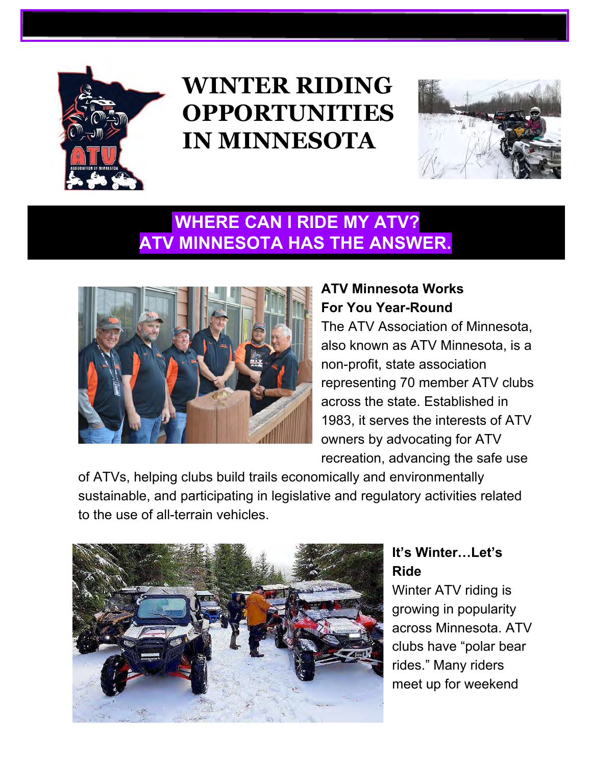

# **WINTER RIDING OPPORTUNITIES IN MINNESOTA**



## **WHERE CAN I RIDE MY ATV? ATV MINNESOTA HAS THE ANSWER.**



## **ATV Minnesota Works For You Year-Round**

The ATV Association of Minnesota, also known as ATV Minnesota, is a non-profit, state association representing 70 member ATV clubs across the state. Established in 1983, it serves the interests of ATV owners by advocating for ATV recreation, advancing the safe use

of ATVs, helping clubs build trails economically and environmentally sustainable, and participating in legislative and regulatory activities related to the use of all-terrain vehicles.



## **It's Winter…Let's Ride**

Winter ATV riding is growing in popularity across Minnesota. ATV clubs have "polar bear rides." Many riders meet up for weekend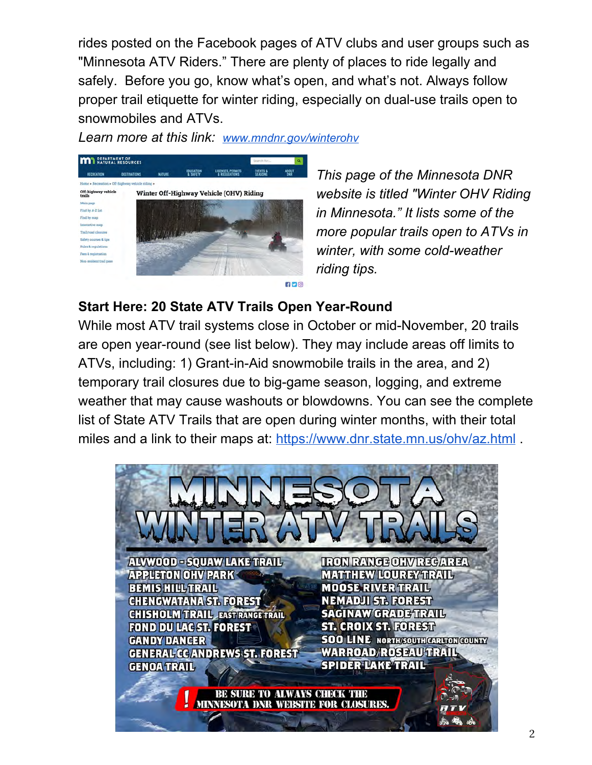rides posted on the Facebook pages of ATV clubs and user groups such as "Minnesota ATV Riders." There are plenty of places to ride legally and safely. Before you go, know what's open, and what's not. Always follow proper trail etiquette for winter riding, especially on dual-use trails open to snowmobiles and ATVs.

*Learn more at this link: [www.mndnr.gov/winterohv](http://www.mndnr.gov/winterohv)*



*This page of the Minnesota DNR website is titled "Winter OHV Riding in Minnesota." It lists some of the more popular trails open to ATVs in winter, with some cold-weather riding tips.*

#### **Start Here: 20 State ATV Trails Open Year-Round**

While most ATV trail systems close in October or mid-November, 20 trails are open year-round (see list below). They may include areas off limits to ATVs, including: 1) Grant-in-Aid snowmobile trails in the area, and 2) temporary trail closures due to big-game season, logging, and extreme weather that may cause washouts or blowdowns. You can see the complete list of State ATV Trails that are open during winter months, with their total miles and a link to their maps at: <https://www.dnr.state.mn.us/ohv/az.html> .

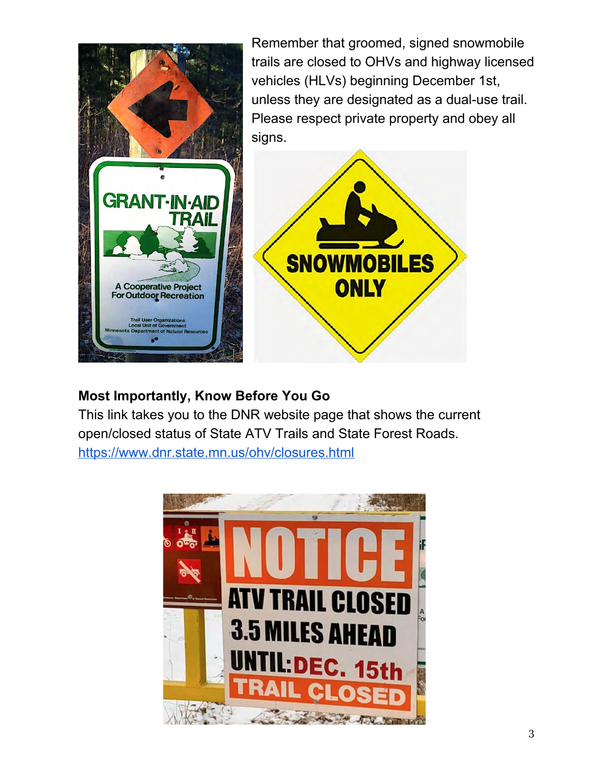

#### **Most Importantly, Know Before You Go**

This link takes you to the DNR website page that shows the current open/closed status of State ATV Trails and State Forest Roads. <https://www.dnr.state.mn.us/ohv/closures.html>

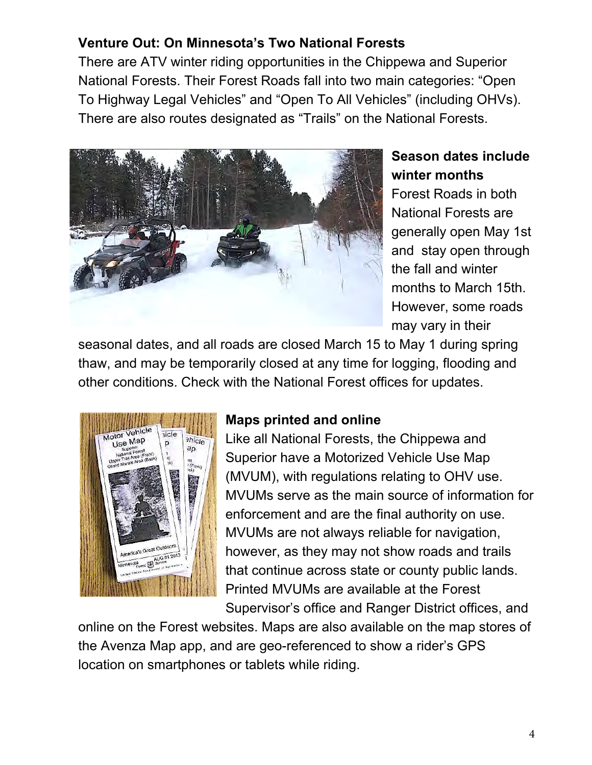## **Venture Out: On Minnesota's Two National Forests**

There are ATV winter riding opportunities in the Chippewa and Superior National Forests. Their Forest Roads fall into two main categories: "Open To Highway Legal Vehicles" and "Open To All Vehicles" (including OHVs). There are also routes designated as "Trails" on the National Forests.



## **Season dates include winter months**

Forest Roads in both National Forests are generally open May 1st and stay open through the fall and winter months to March 15th. However, some roads may vary in their

seasonal dates, and all roads are closed March 15 to May 1 during spring thaw, and may be temporarily closed at any time for logging, flooding and other conditions. Check with the National Forest offices for updates.



## **Maps printed and online**

Like all National Forests, the Chippewa and Superior have a Motorized Vehicle Use Map (MVUM), with regulations relating to OHV use. MVUMs serve as the main source of information for enforcement and are the final authority on use. MVUMs are not always reliable for navigation, however, as they may not show roads and trails that continue across state or county public lands. Printed MVUMs are available at the Forest Supervisor's office and Ranger District offices, and

online on the Forest websites. Maps are also available on the map stores of the Avenza Map app, and are geo-referenced to show a rider's GPS location on smartphones or tablets while riding.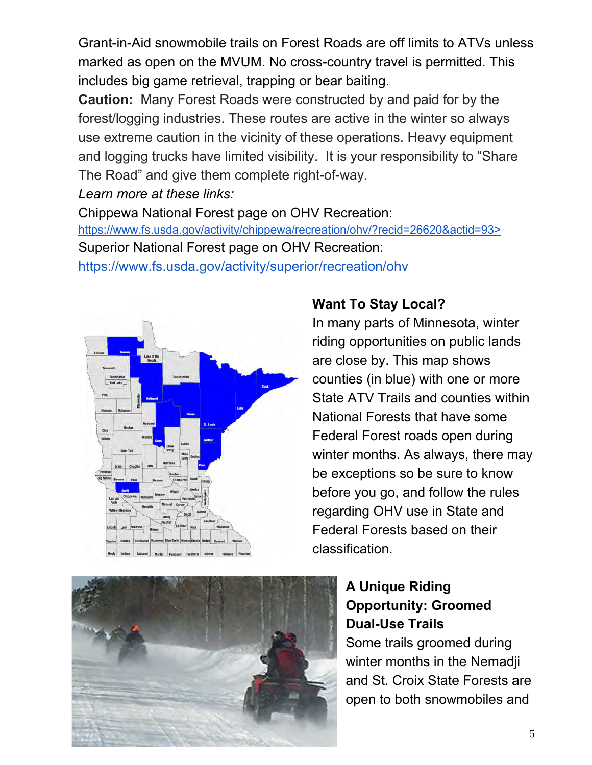Grant-in-Aid snowmobile trails on Forest Roads are off limits to ATVs unless marked as open on the MVUM. No cross-country travel is permitted. This includes big game retrieval, trapping or bear baiting.

**Caution:** Many Forest Roads were constructed by and paid for by the forest/logging industries. These routes are active in the winter so always use extreme caution in the vicinity of these operations. Heavy equipment and logging trucks have limited visibility. It is your responsibility to "Share The Road" and give them complete right-of-way.

*Learn more at these links:*

Chippewa National Forest page on OHV Recreation: [https://www.fs.usda.gov/activity/chippewa/recreation/ohv/?recid=26620&actid=93>](https://www.fs.usda.gov/activity/chippewa/recreation/ohv/?recid=26620&actid=93) Superior National Forest page on OHV Recreation: <https://www.fs.usda.gov/activity/superior/recreation/ohv>



## **Want To Stay Local?**

In many parts of Minnesota, winter riding opportunities on public lands are close by. This map shows counties (in blue) with one or more State ATV Trails and counties within National Forests that have some Federal Forest roads open during winter months. As always, there may be exceptions so be sure to know before you go, and follow the rules regarding OHV use in State and Federal Forests based on their classification.



## **A Unique Riding Opportunity: Groomed Dual-Use Trails**

Some trails groomed during winter months in the Nemadii and St. Croix State Forests are open to both snowmobiles and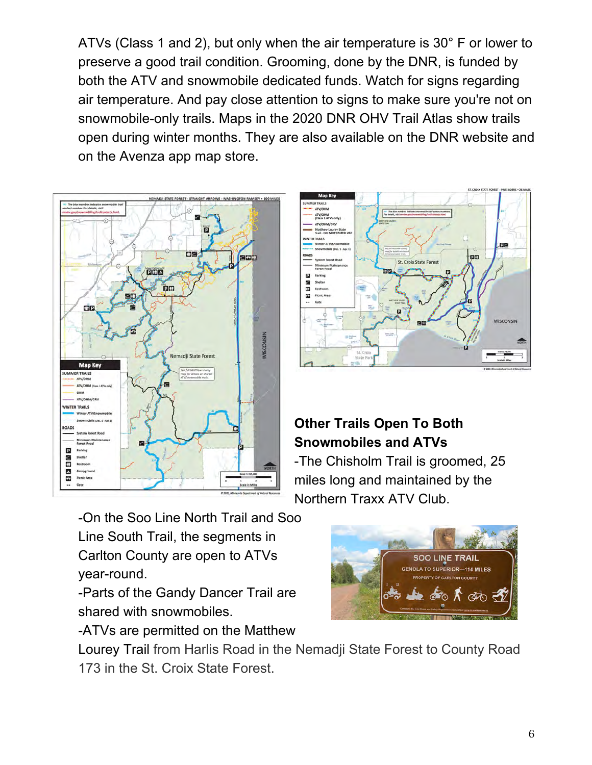ATVs (Class 1 and 2), but only when the air temperature is 30° F or lower to preserve a good trail condition. Grooming, done by the DNR, is funded by both the ATV and snowmobile dedicated funds. Watch for signs regarding air temperature. And pay close attention to signs to make sure you're not on snowmobile-only trails. Maps in the 2020 DNR OHV Trail Atlas show trails open during winter months. They are also available on the DNR website and on the Avenza app map store.





## **Other Trails Open To Both Snowmobiles and ATVs**

-The Chisholm Trail is groomed, 25 miles long and maintained by the Northern Traxx ATV Club.

-On the Soo Line North Trail and Soo Line South Trail, the segments in Carlton County are open to ATVs year-round.

-Parts of the Gandy Dancer Trail are shared with snowmobiles.

-ATVs are permitted on the Matthew

SOO LINE TRAIL **ENOLA TO SUPERIOR-114 MILES Y OF CARLTON COUNT** അ്

Lourey Trail from Harlis Road in the Nemadji State Forest to County Road 173 in the St. Croix State Forest.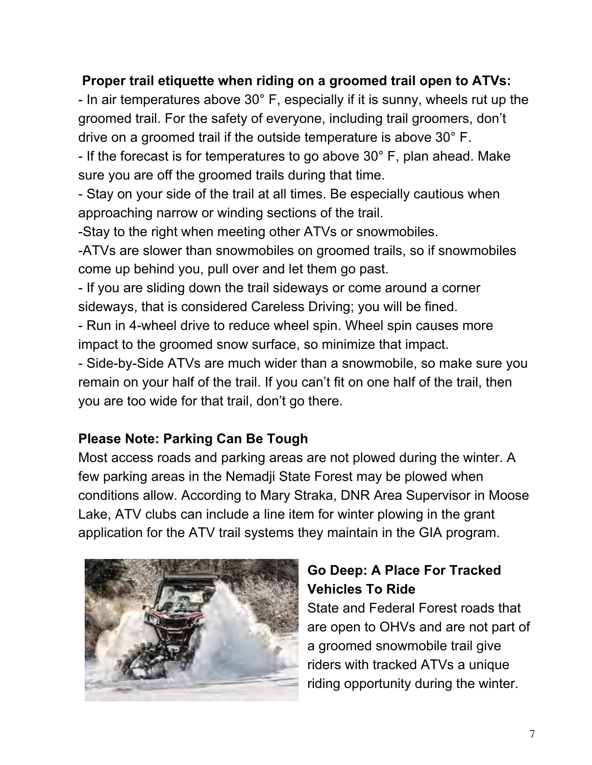## **Proper trail etiquette when riding on a groomed trail open to ATVs:**

- In air temperatures above 30° F, especially if it is sunny, wheels rut up the groomed trail. For the safety of everyone, including trail groomers, don't drive on a groomed trail if the outside temperature is above 30° F.

- If the forecast is for temperatures to go above 30° F, plan ahead. Make sure you are off the groomed trails during that time.

- Stay on your side of the trail at all times. Be especially cautious when approaching narrow or winding sections of the trail.

-Stay to the right when meeting other ATVs or snowmobiles.

-ATVs are slower than snowmobiles on groomed trails, so if snowmobiles come up behind you, pull over and let them go past.

- If you are sliding down the trail sideways or come around a corner sideways, that is considered Careless Driving; you will be fined.

- Run in 4-wheel drive to reduce wheel spin. Wheel spin causes more impact to the groomed snow surface, so minimize that impact.

- Side-by-Side ATVs are much wider than a snowmobile, so make sure you remain on your half of the trail. If you can't fit on one half of the trail, then you are too wide for that trail, don't go there.

#### **Please Note: Parking Can Be Tough**

Most access roads and parking areas are not plowed during the winter. A few parking areas in the Nemadji State Forest may be plowed when conditions allow. According to Mary Straka, DNR Area Supervisor in Moose Lake, ATV clubs can include a line item for winter plowing in the grant application for the ATV trail systems they maintain in the GIA program.



## **Go Deep: A Place For Tracked Vehicles To Ride**

State and Federal Forest roads that are open to OHVs and are not part of a groomed snowmobile trail give riders with tracked ATVs a unique riding opportunity during the winter.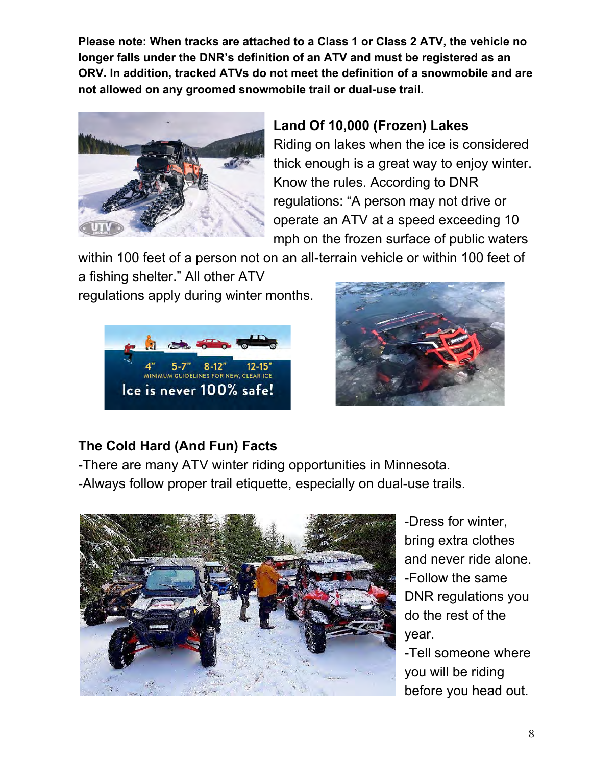**Please note: When tracks are attached to a Class 1 or Class 2 ATV, the vehicle no longer falls under the DNR's definition of an ATV and must be registered as an ORV. In addition, tracked ATVs do not meet the definition of a snowmobile and are not allowed on any groomed snowmobile trail or dual-use trail.**



## **Land Of 10,000 (Frozen) Lakes**

Riding on lakes when the ice is considered thick enough is a great way to enjoy winter. Know the rules. According to DNR regulations: "A person may not drive or operate an ATV at a speed exceeding 10 mph on the frozen surface of public waters

within 100 feet of a person not on an all-terrain vehicle or within 100 feet of a fishing shelter." All other ATV

regulations apply during winter months.





## **The Cold Hard (And Fun) Facts**

-There are many ATV winter riding opportunities in Minnesota. -Always follow proper trail etiquette, especially on dual-use trails.



-Dress for winter, bring extra clothes and never ride alone. -Follow the same DNR regulations you do the rest of the year.

-Tell someone where you will be riding before you head out.